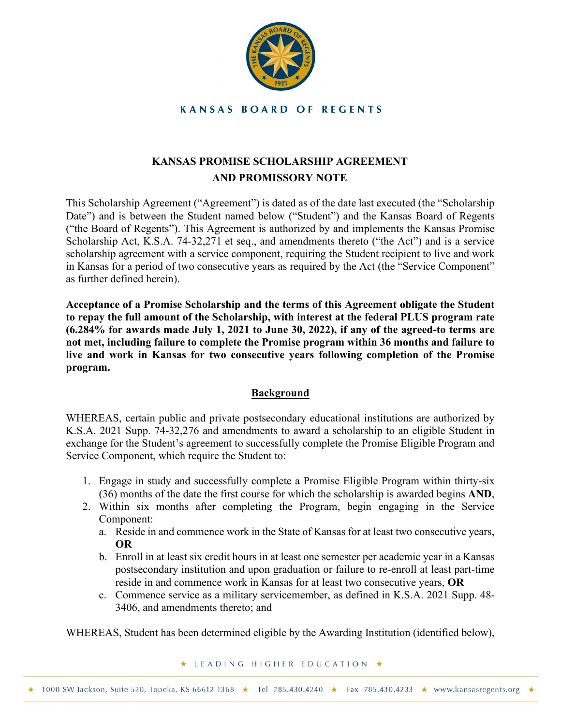

**KANSAS BOARD OF REGENTS** 

# **KANSAS PROMISE SCHOLARSHIP AGREEMENT AND PROMISSORY NOTE**

This Scholarship Agreement ("Agreement") is dated as of the date last executed (the "Scholarship Date") and is between the Student named below ("Student") and the Kansas Board of Regents ("the Board of Regents"). This Agreement is authorized by and implements the Kansas Promise Scholarship Act, K.S.A. 74-32,271 et seq., and amendments thereto ("the Act") and is a service scholarship agreement with a service component, requiring the Student recipient to live and work in Kansas for a period of two consecutive years as required by the Act (the "Service Component" as further defined herein).

**Acceptance of a Promise Scholarship and the terms of this Agreement obligate the Student to repay the full amount of the Scholarship, with interest at the federal PLUS program rate (6.284% for awards made July 1, 2021 to June 30, 2022), if any of the agreed-to terms are not met, including failure to complete the Promise program within 36 months and failure to live and work in Kansas for two consecutive years following completion of the Promise program.** 

# **Background**

WHEREAS, certain public and private postsecondary educational institutions are authorized by K.S.A. 2021 Supp. 74-32,276 and amendments to award a scholarship to an eligible Student in exchange for the Student's agreement to successfully complete the Promise Eligible Program and Service Component, which require the Student to:

- 1. Engage in study and successfully complete a Promise Eligible Program within thirty-six (36) months of the date the first course for which the scholarship is awarded begins **AND**,
- 2. Within six months after completing the Program, begin engaging in the Service Component:
	- a. Reside in and commence work in the State of Kansas for at least two consecutive years, **OR**
	- b. Enroll in at least six credit hours in at least one semester per academic year in a Kansas postsecondary institution and upon graduation or failure to re-enroll at least part-time reside in and commence work in Kansas for at least two consecutive years, **OR**
	- c. Commence service as a military servicemember, as defined in K.S.A. 2021 Supp. 48- 3406, and amendments thereto; and

WHEREAS, Student has been determined eligible by the Awarding Institution (identified below),

★ LEADING HIGHER EDUCATION ★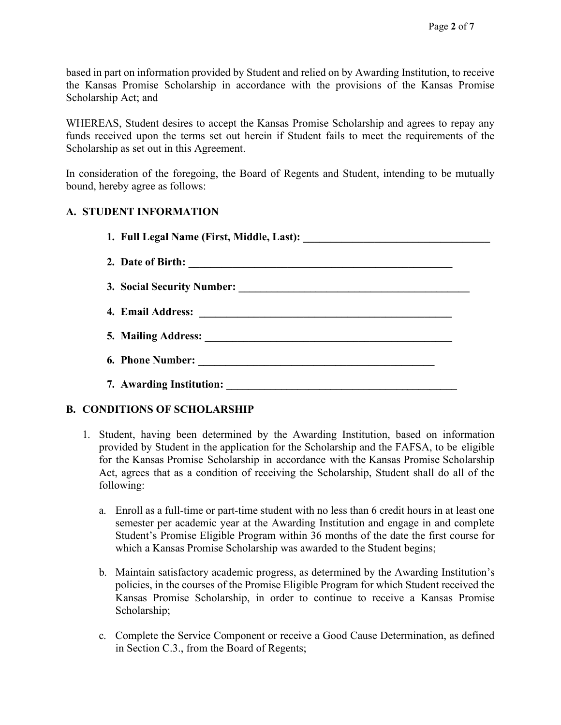based in part on information provided by Student and relied on by Awarding Institution, to receive the Kansas Promise Scholarship in accordance with the provisions of the Kansas Promise Scholarship Act; and

WHEREAS, Student desires to accept the Kansas Promise Scholarship and agrees to repay any funds received upon the terms set out herein if Student fails to meet the requirements of the Scholarship as set out in this Agreement.

In consideration of the foregoing, the Board of Regents and Student, intending to be mutually bound, hereby agree as follows:

# **A. STUDENT INFORMATION**

# **B. CONDITIONS OF SCHOLARSHIP**

- 1. Student, having been determined by the Awarding Institution, based on information provided by Student in the application for the Scholarship and the FAFSA, to be eligible for the Kansas Promise Scholarship in accordance with the Kansas Promise Scholarship Act, agrees that as a condition of receiving the Scholarship, Student shall do all of the following:
	- a. Enroll as a full-time or part-time student with no less than 6 credit hours in at least one semester per academic year at the Awarding Institution and engage in and complete Student's Promise Eligible Program within 36 months of the date the first course for which a Kansas Promise Scholarship was awarded to the Student begins;
	- b. Maintain satisfactory academic progress, as determined by the Awarding Institution's policies, in the courses of the Promise Eligible Program for which Student received the Kansas Promise Scholarship, in order to continue to receive a Kansas Promise Scholarship;
	- c. Complete the Service Component or receive a Good Cause Determination, as defined in Section C.3., from the Board of Regents;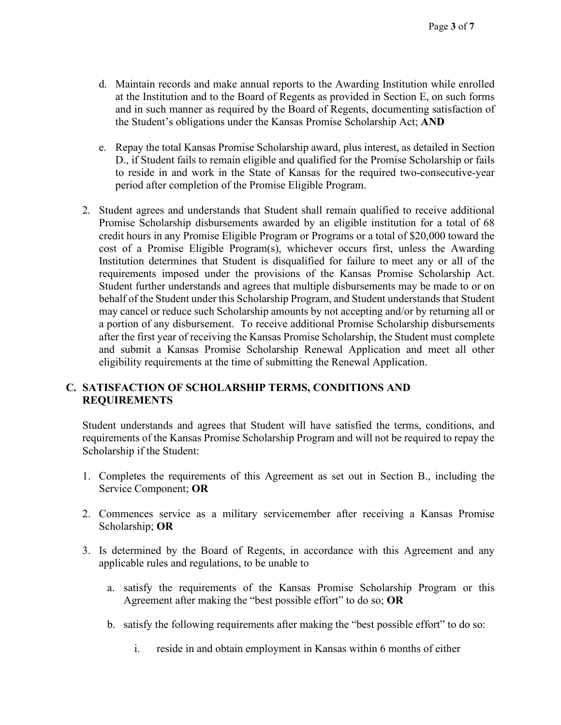- d. Maintain records and make annual reports to the Awarding Institution while enrolled at the Institution and to the Board of Regents as provided in Section E, on such forms and in such manner as required by the Board of Regents, documenting satisfaction of the Student's obligations under the Kansas Promise Scholarship Act; **AND**
- e. Repay the total Kansas Promise Scholarship award, plus interest, as detailed in Section D., if Student fails to remain eligible and qualified for the Promise Scholarship or fails to reside in and work in the State of Kansas for the required two-consecutive-year period after completion of the Promise Eligible Program.
- 2. Student agrees and understands that Student shall remain qualified to receive additional Promise Scholarship disbursements awarded by an eligible institution for a total of 68 credit hours in any Promise Eligible Program or Programs or a total of \$20,000 toward the cost of a Promise Eligible Program(s), whichever occurs first, unless the Awarding Institution determines that Student is disqualified for failure to meet any or all of the requirements imposed under the provisions of the Kansas Promise Scholarship Act. Student further understands and agrees that multiple disbursements may be made to or on behalf of the Student under this Scholarship Program, and Student understands that Student may cancel or reduce such Scholarship amounts by not accepting and/or by returning all or a portion of any disbursement. To receive additional Promise Scholarship disbursements after the first year of receiving the Kansas Promise Scholarship, the Student must complete and submit a Kansas Promise Scholarship Renewal Application and meet all other eligibility requirements at the time of submitting the Renewal Application.

## **C. SATISFACTION OF SCHOLARSHIP TERMS, CONDITIONS AND REQUIREMENTS**

Student understands and agrees that Student will have satisfied the terms, conditions, and requirements of the Kansas Promise Scholarship Program and will not be required to repay the Scholarship if the Student:

- 1. Completes the requirements of this Agreement as set out in Section B., including the Service Component; **OR**
- 2. Commences service as a military servicemember after receiving a Kansas Promise Scholarship; **OR**
- 3. Is determined by the Board of Regents, in accordance with this Agreement and any applicable rules and regulations, to be unable to
	- a. satisfy the requirements of the Kansas Promise Scholarship Program or this Agreement after making the "best possible effort" to do so; **OR**
	- b. satisfy the following requirements after making the "best possible effort" to do so:
		- i. reside in and obtain employment in Kansas within 6 months of either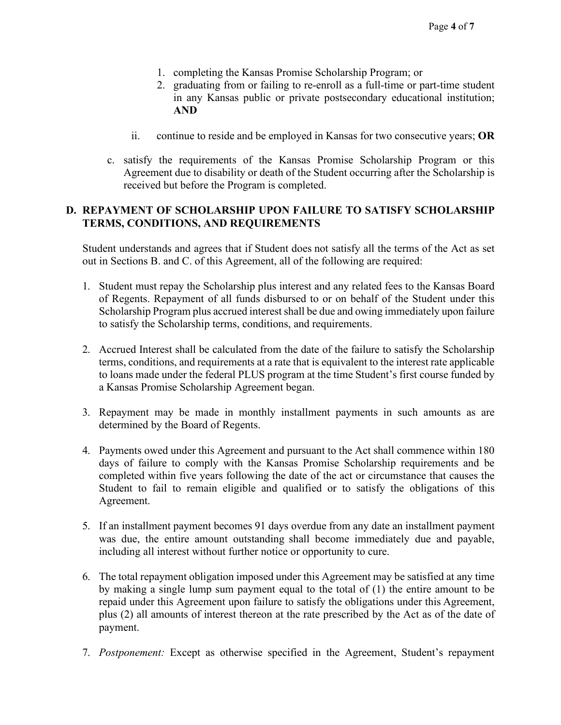- 1. completing the Kansas Promise Scholarship Program; or
- 2. graduating from or failing to re-enroll as a full-time or part-time student in any Kansas public or private postsecondary educational institution; **AND**
- ii. continue to reside and be employed in Kansas for two consecutive years; **OR**
- c. satisfy the requirements of the Kansas Promise Scholarship Program or this Agreement due to disability or death of the Student occurring after the Scholarship is received but before the Program is completed.

## **D. REPAYMENT OF SCHOLARSHIP UPON FAILURE TO SATISFY SCHOLARSHIP TERMS, CONDITIONS, AND REQUIREMENTS**

Student understands and agrees that if Student does not satisfy all the terms of the Act as set out in Sections B. and C. of this Agreement, all of the following are required:

- 1. Student must repay the Scholarship plus interest and any related fees to the Kansas Board of Regents. Repayment of all funds disbursed to or on behalf of the Student under this Scholarship Program plus accrued interest shall be due and owing immediately upon failure to satisfy the Scholarship terms, conditions, and requirements.
- 2. Accrued Interest shall be calculated from the date of the failure to satisfy the Scholarship terms, conditions, and requirements at a rate that is equivalent to the interest rate applicable to loans made under the federal PLUS program at the time Student's first course funded by a Kansas Promise Scholarship Agreement began.
- 3. Repayment may be made in monthly installment payments in such amounts as are determined by the Board of Regents.
- 4. Payments owed under this Agreement and pursuant to the Act shall commence within 180 days of failure to comply with the Kansas Promise Scholarship requirements and be completed within five years following the date of the act or circumstance that causes the Student to fail to remain eligible and qualified or to satisfy the obligations of this Agreement.
- 5. If an installment payment becomes 91 days overdue from any date an installment payment was due, the entire amount outstanding shall become immediately due and payable, including all interest without further notice or opportunity to cure.
- 6. The total repayment obligation imposed under this Agreement may be satisfied at any time by making a single lump sum payment equal to the total of (1) the entire amount to be repaid under this Agreement upon failure to satisfy the obligations under this Agreement, plus (2) all amounts of interest thereon at the rate prescribed by the Act as of the date of payment.
- 7. *Postponement:* Except as otherwise specified in the Agreement, Student's repayment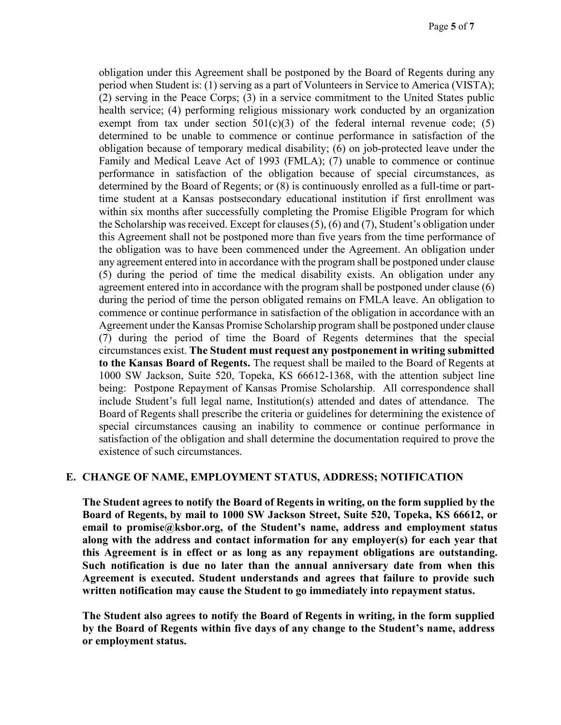obligation under this Agreement shall be postponed by the Board of Regents during any period when Student is: (1) serving as a part of Volunteers in Service to America (VISTA); (2) serving in the Peace Corps; (3) in a service commitment to the United States public health service; (4) performing religious missionary work conducted by an organization exempt from tax under section  $501(c)(3)$  of the federal internal revenue code; (5) determined to be unable to commence or continue performance in satisfaction of the obligation because of temporary medical disability; (6) on job-protected leave under the Family and Medical Leave Act of 1993 (FMLA); (7) unable to commence or continue performance in satisfaction of the obligation because of special circumstances, as determined by the Board of Regents; or (8) is continuously enrolled as a full-time or parttime student at a Kansas postsecondary educational institution if first enrollment was within six months after successfully completing the Promise Eligible Program for which the Scholarship was received. Except for clauses(5), (6) and (7), Student's obligation under this Agreement shall not be postponed more than five years from the time performance of the obligation was to have been commenced under the Agreement. An obligation under any agreement entered into in accordance with the program shall be postponed under clause (5) during the period of time the medical disability exists. An obligation under any agreement entered into in accordance with the program shall be postponed under clause (6) during the period of time the person obligated remains on FMLA leave. An obligation to commence or continue performance in satisfaction of the obligation in accordance with an Agreement under the Kansas Promise Scholarship program shall be postponed under clause (7) during the period of time the Board of Regents determines that the special circumstances exist. **The Student must request any postponement in writing submitted to the Kansas Board of Regents.** The request shall be mailed to the Board of Regents at 1000 SW Jackson, Suite 520, Topeka, KS 66612-1368, with the attention subject line being: Postpone Repayment of Kansas Promise Scholarship. All correspondence shall include Student's full legal name, Institution(s) attended and dates of attendance. The Board of Regents shall prescribe the criteria or guidelines for determining the existence of special circumstances causing an inability to commence or continue performance in satisfaction of the obligation and shall determine the documentation required to prove the existence of such circumstances.

#### **E. CHANGE OF NAME, EMPLOYMENT STATUS, ADDRESS; NOTIFICATION**

**The Student agrees to notify the Board of Regents in writing, on the form supplied by the Board of Regents, by mail to 1000 SW Jackson Street, Suite 520, Topeka, KS 66612, or email to promise@ksbor.org, of the Student's name, address and employment status along with the address and contact information for any employer(s) for each year that this Agreement is in effect or as long as any repayment obligations are outstanding. Such notification is due no later than the annual anniversary date from when this Agreement is executed. Student understands and agrees that failure to provide such written notification may cause the Student to go immediately into repayment status.**

**The Student also agrees to notify the Board of Regents in writing, in the form supplied by the Board of Regents within five days of any change to the Student's name, address or employment status.**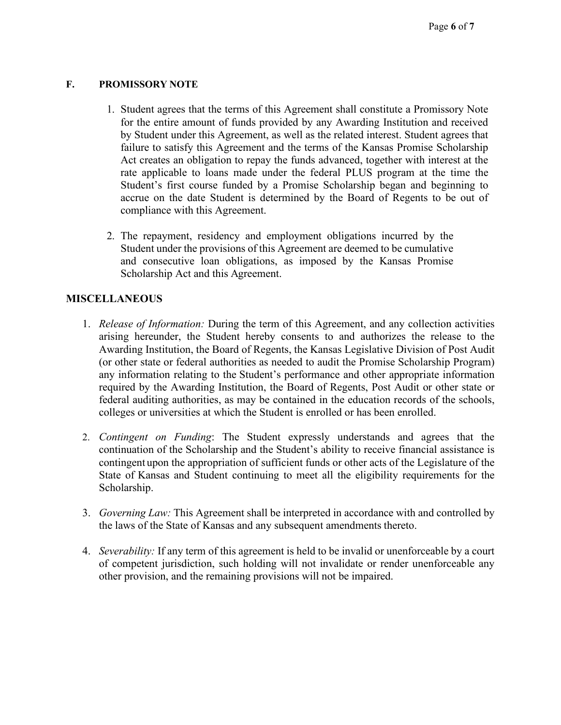#### **F. PROMISSORY NOTE**

- 1. Student agrees that the terms of this Agreement shall constitute a Promissory Note for the entire amount of funds provided by any Awarding Institution and received by Student under this Agreement, as well as the related interest. Student agrees that failure to satisfy this Agreement and the terms of the Kansas Promise Scholarship Act creates an obligation to repay the funds advanced, together with interest at the rate applicable to loans made under the federal PLUS program at the time the Student's first course funded by a Promise Scholarship began and beginning to accrue on the date Student is determined by the Board of Regents to be out of compliance with this Agreement.
- 2. The repayment, residency and employment obligations incurred by the Student under the provisions of this Agreement are deemed to be cumulative and consecutive loan obligations, as imposed by the Kansas Promise Scholarship Act and this Agreement.

### **MISCELLANEOUS**

- 1. *Release of Information:* During the term of this Agreement, and any collection activities arising hereunder, the Student hereby consents to and authorizes the release to the Awarding Institution, the Board of Regents, the Kansas Legislative Division of Post Audit (or other state or federal authorities as needed to audit the Promise Scholarship Program) any information relating to the Student's performance and other appropriate information required by the Awarding Institution, the Board of Regents, Post Audit or other state or federal auditing authorities, as may be contained in the education records of the schools, colleges or universities at which the Student is enrolled or has been enrolled.
- 2. *Contingent on Funding*: The Student expressly understands and agrees that the continuation of the Scholarship and the Student's ability to receive financial assistance is contingent upon the appropriation of sufficient funds or other acts of the Legislature of the State of Kansas and Student continuing to meet all the eligibility requirements for the Scholarship.
- 3. *Governing Law:* This Agreement shall be interpreted in accordance with and controlled by the laws of the State of Kansas and any subsequent amendments thereto.
- 4. *Severability:* If any term of this agreement is held to be invalid or unenforceable by a court of competent jurisdiction, such holding will not invalidate or render unenforceable any other provision, and the remaining provisions will not be impaired.